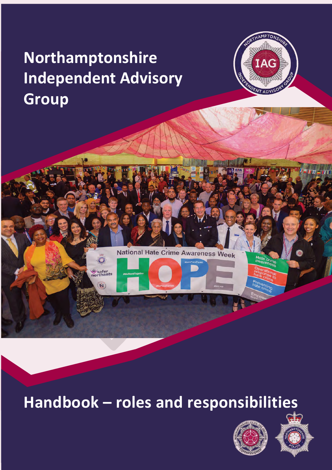# **Northamptonshire Independent Advisory Group**

safer<br>northants

 $\mathbf{N}$ 



# **Handbook – roles and responsibilities**



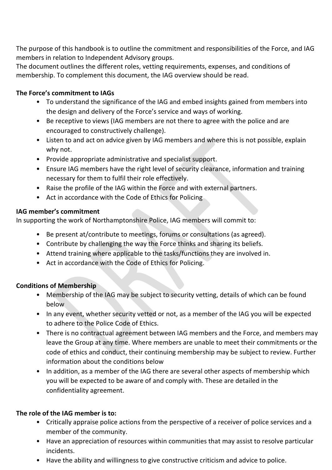The purpose of this handbook is to outline the commitment and responsibilities of the Force, and IAG members in relation to Independent Advisory groups.

The document outlines the different roles, vetting requirements, expenses, and conditions of membership. To complement this document, the IAG overview should be read.

## **The Force's commitment to IAGs**

- To understand the significance of the IAG and embed insights gained from members into the design and delivery of the Force's service and ways of working.
- Be receptive to views (IAG members are not there to agree with the police and are encouraged to constructively challenge).
- Listen to and act on advice given by IAG members and where this is not possible, explain why not.
- Provide appropriate administrative and specialist support.
- Ensure IAG members have the right level of security clearance, information and training necessary for them to fulfil their role effectively.
- Raise the profile of the IAG within the Force and with external partners.
- Act in accordance with the Code of Ethics for Policing

# **IAG member's commitment**

In supporting the work of Northamptonshire Police, IAG members will commit to:

- Be present at/contribute to meetings, forums or consultations (as agreed).
- Contribute by challenging the way the Force thinks and sharing its beliefs.
- Attend training where applicable to the tasks/functions they are involved in.
- Act in accordance with the Code of Ethics for Policing.

# **Conditions of Membership**

- Membership of the IAG may be subject to security vetting, details of which can be found below
- In any event, whether security vetted or not, as a member of the IAG you will be expected to adhere to the Police Code of Ethics.
- There is no contractual agreement between IAG members and the Force, and members may leave the Group at any time. Where members are unable to meet their commitments or the code of ethics and conduct, their continuing membership may be subject to review. Further information about the conditions below
- In addition, as a member of the IAG there are several other aspects of membership which you will be expected to be aware of and comply with. These are detailed in the confidentiality agreement.

# **The role of the IAG member is to:**

- Critically appraise police actions from the perspective of a receiver of police services and a member of the community.
- Have an appreciation of resources within communities that may assist to resolve particular incidents.
- Have the ability and willingness to give constructive criticism and advice to police.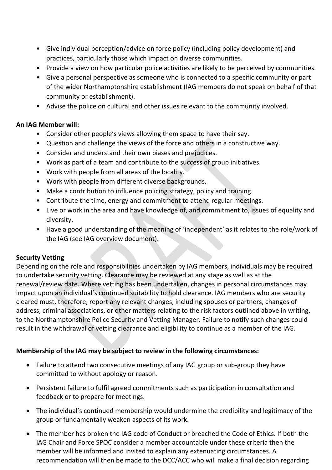- Give individual perception/advice on force policy (including policy development) and practices, particularly those which impact on diverse communities.
- Provide a view on how particular police activities are likely to be perceived by communities.
- Give a personal perspective as someone who is connected to a specific community or part of the wider Northamptonshire establishment (IAG members do not speak on behalf of that community or establishment).
- Advise the police on cultural and other issues relevant to the community involved.

# **An IAG Member will:**

- Consider other people's views allowing them space to have their say.
- Question and challenge the views of the force and others in a constructive way.
- Consider and understand their own biases and prejudices.
- Work as part of a team and contribute to the success of group initiatives.
- Work with people from all areas of the locality.
- Work with people from different diverse backgrounds.
- Make a contribution to influence policing strategy, policy and training.
- Contribute the time, energy and commitment to attend regular meetings.
- Live or work in the area and have knowledge of, and commitment to, issues of equality and diversity.
- Have a good understanding of the meaning of 'independent' as it relates to the role/work of the IAG (see IAG overview document).

### **Security Vetting**

Depending on the role and responsibilities undertaken by IAG members, individuals may be required to undertake security vetting. Clearance may be reviewed at any stage as well as at the renewal/review date. Where vetting has been undertaken, changes in personal circumstances may impact upon an individual's continued suitability to hold clearance. IAG members who are security cleared must, therefore, report any relevant changes, including spouses or partners, changes of address, criminal associations, or other matters relating to the risk factors outlined above in writing, to the Northamptonshire Police Security and Vetting Manager. Failure to notify such changes could result in the withdrawal of vetting clearance and eligibility to continue as a member of the IAG.

### **Membership of the IAG may be subject to review in the following circumstances:**

- Failure to attend two consecutive meetings of any IAG group or sub-group they have committed to without apology or reason.
- Persistent failure to fulfil agreed commitments such as participation in consultation and feedback or to prepare for meetings.
- The individual's continued membership would undermine the credibility and legitimacy of the group or fundamentally weaken aspects of its work.
- The member has broken the IAG code of Conduct or breached the Code of Ethics. If both the IAG Chair and Force SPOC consider a member accountable under these criteria then the member will be informed and invited to explain any extenuating circumstances. A recommendation will then be made to the DCC/ACC who will make a final decision regarding